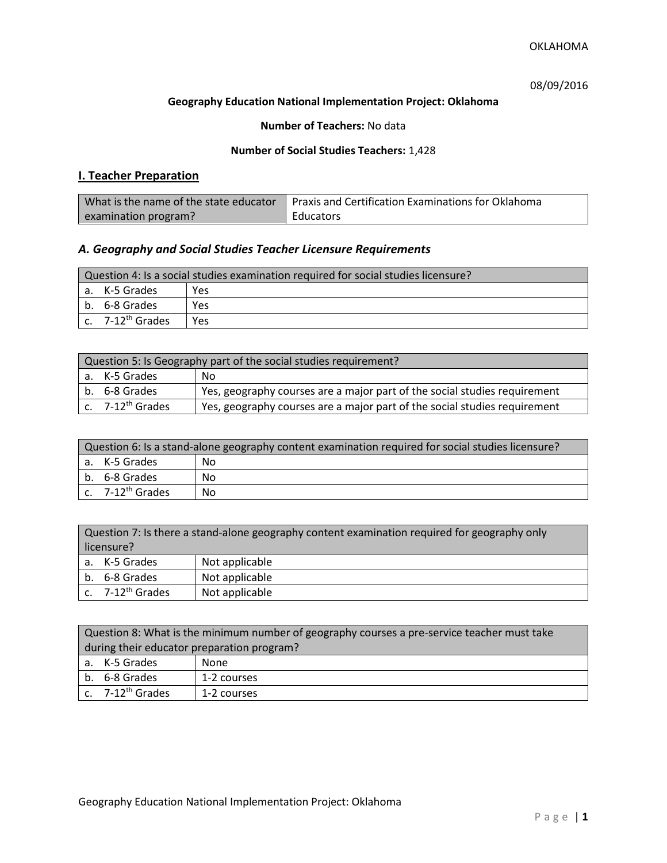# 08/09/2016

## **Geography Education National Implementation Project: Oklahoma**

## **Number of Teachers:** No data

### **Number of Social Studies Teachers:** 1,428

# **I. Teacher Preparation**

| What is the name of the state educator | Praxis and Certification Examinations for Oklahoma |
|----------------------------------------|----------------------------------------------------|
| examination program?                   | Educators                                          |

# *A. Geography and Social Studies Teacher Licensure Requirements*

| Question 4: Is a social studies examination required for social studies licensure? |                       |     |
|------------------------------------------------------------------------------------|-----------------------|-----|
|                                                                                    | a. K-5 Grades         | Yes |
|                                                                                    | b. 6-8 Grades         | Yes |
|                                                                                    | c. $7-12^{th}$ Grades | Yes |

| Question 5: Is Geography part of the social studies requirement? |                                                                           |  |
|------------------------------------------------------------------|---------------------------------------------------------------------------|--|
| a. K-5 Grades                                                    | No.                                                                       |  |
| b. 6-8 Grades                                                    | Yes, geography courses are a major part of the social studies requirement |  |
| c. 7-12 <sup>th</sup> Grades                                     | Yes, geography courses are a major part of the social studies requirement |  |

| Question 6: Is a stand-alone geography content examination required for social studies licensure? |    |  |
|---------------------------------------------------------------------------------------------------|----|--|
| l a. K-5 Grades                                                                                   | No |  |
| b. 6-8 Grades                                                                                     | No |  |
| $\int c$ . 7-12 <sup>th</sup> Grades                                                              | No |  |

| Question 7: Is there a stand-alone geography content examination required for geography only<br>licensure? |                |  |
|------------------------------------------------------------------------------------------------------------|----------------|--|
| a. K-5 Grades                                                                                              | Not applicable |  |
| Not applicable<br>b. 6-8 Grades                                                                            |                |  |
| c. $7-12^{th}$ Grades                                                                                      | Not applicable |  |

|                                            | Question 8: What is the minimum number of geography courses a pre-service teacher must take |             |  |
|--------------------------------------------|---------------------------------------------------------------------------------------------|-------------|--|
| during their educator preparation program? |                                                                                             |             |  |
|                                            | a. K-5 Grades                                                                               | None        |  |
|                                            | b. 6-8 Grades                                                                               | 1-2 courses |  |
|                                            | c. 7-12 <sup>th</sup> Grades                                                                | 1-2 courses |  |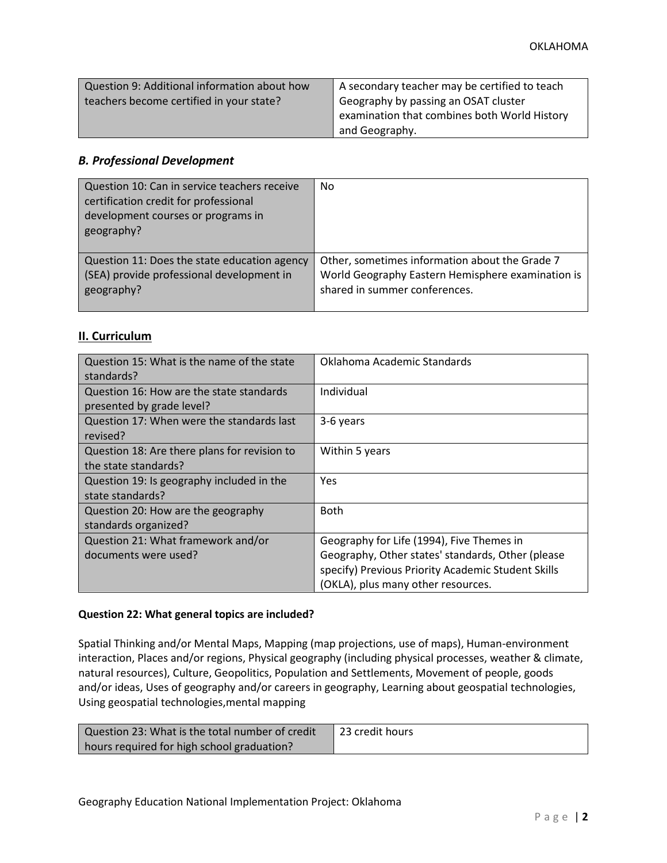| Question 9: Additional information about how | A secondary teacher may be certified to teach |
|----------------------------------------------|-----------------------------------------------|
| teachers become certified in your state?     | Geography by passing an OSAT cluster          |
|                                              | examination that combines both World History  |
|                                              | and Geography.                                |

## *B. Professional Development*

| Question 10: Can in service teachers receive<br>certification credit for professional<br>development courses or programs in<br>geography? | N <sub>0</sub>                                    |
|-------------------------------------------------------------------------------------------------------------------------------------------|---------------------------------------------------|
| Question 11: Does the state education agency                                                                                              | Other, sometimes information about the Grade 7    |
| (SEA) provide professional development in                                                                                                 | World Geography Eastern Hemisphere examination is |
| geography?                                                                                                                                | shared in summer conferences.                     |

# **II. Curriculum**

| Question 15: What is the name of the state<br>standards?              | Oklahoma Academic Standards                                                                                                                                                                |
|-----------------------------------------------------------------------|--------------------------------------------------------------------------------------------------------------------------------------------------------------------------------------------|
| Question 16: How are the state standards<br>presented by grade level? | Individual                                                                                                                                                                                 |
| Question 17: When were the standards last<br>revised?                 | 3-6 years                                                                                                                                                                                  |
| Question 18: Are there plans for revision to<br>the state standards?  | Within 5 years                                                                                                                                                                             |
| Question 19: Is geography included in the<br>state standards?         | Yes                                                                                                                                                                                        |
| Question 20: How are the geography<br>standards organized?            | <b>Both</b>                                                                                                                                                                                |
| Question 21: What framework and/or<br>documents were used?            | Geography for Life (1994), Five Themes in<br>Geography, Other states' standards, Other (please<br>specify) Previous Priority Academic Student Skills<br>(OKLA), plus many other resources. |

## **Question 22: What general topics are included?**

Spatial Thinking and/or Mental Maps, Mapping (map projections, use of maps), Human-environment interaction, Places and/or regions, Physical geography (including physical processes, weather & climate, natural resources), Culture, Geopolitics, Population and Settlements, Movement of people, goods and/or ideas, Uses of geography and/or careers in geography, Learning about geospatial technologies, Using geospatial technologies,mental mapping

| Question 23: What is the total number of credit | 1 23 credit hours |
|-------------------------------------------------|-------------------|
| hours required for high school graduation?      |                   |